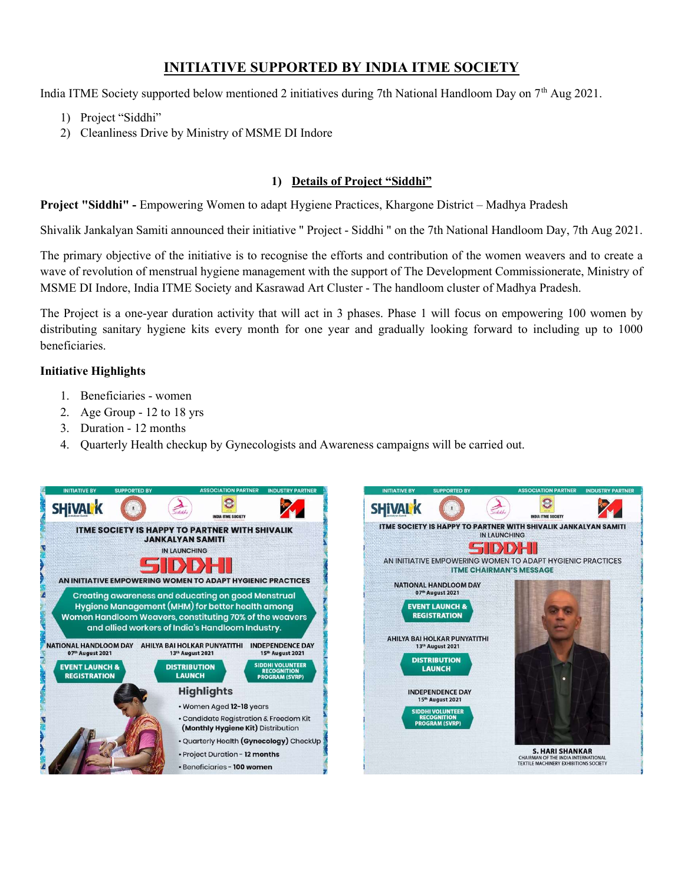# INITIATIVE SUPPORTED BY INDIA ITME SOCIETY

India ITME Society supported below mentioned 2 initiatives during 7th National Handloom Day on  $7<sup>th</sup>$  Aug 2021.

- 1) Project "Siddhi"
- 2) Cleanliness Drive by Ministry of MSME DI Indore

### 1) Details of Project "Siddhi"

Project "Siddhi" - Empowering Women to adapt Hygiene Practices, Khargone District – Madhya Pradesh

Shivalik Jankalyan Samiti announced their initiative " Project - Siddhi " on the 7th National Handloom Day, 7th Aug 2021.

The primary objective of the initiative is to recognise the efforts and contribution of the women weavers and to create a wave of revolution of menstrual hygiene management with the support of The Development Commissionerate, Ministry of MSME DI Indore, India ITME Society and Kasrawad Art Cluster - The handloom cluster of Madhya Pradesh.

The Project is a one-year duration activity that will act in 3 phases. Phase 1 will focus on empowering 100 women by distributing sanitary hygiene kits every month for one year and gradually looking forward to including up to 1000 beneficiaries.

### Initiative Highlights

- 1. Beneficiaries women
- 2. Age Group 12 to 18 yrs
- 3. Duration 12 months
- 4. Quarterly Health checkup by Gynecologists and Awareness campaigns will be carried out.

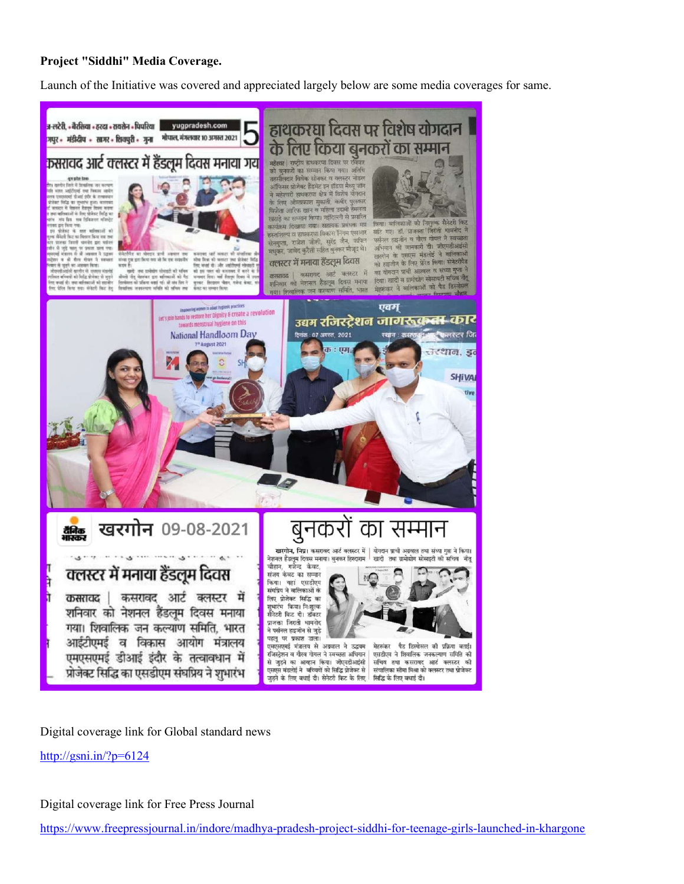#### Project "Siddhi" Media Coverage.

Launch of the Initiative was covered and appreciated largely below are some media coverages for same.



Digital coverage link for Global standard news

http://gsni.in/?p=6124

Digital coverage link for Free Press Journal

https://www.freepressjournal.in/indore/madhya-pradesh-project-siddhi-for-teenage-girls-launched-in-khargone